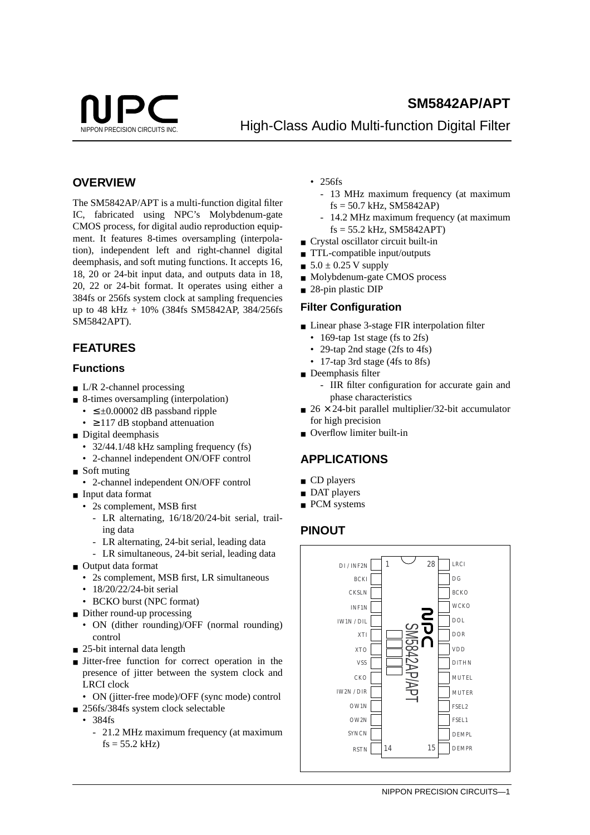

# **SM5842AP/APT NIPPON PRECISION CIRCUITS INC.** High-Class Audio Multi-function Digital Filter

# **OVERVIEW**

The SM5842AP/APT is a multi-function digital filter IC, fabricated using NPC's Molybdenum-gate CMOS process, for digital audio reproduction equipment. It features 8-times oversampling (interpolation), independent left and right-channel digital deemphasis, and soft muting functions. It accepts 16, 18, 20 or 24-bit input data, and outputs data in 18, 20, 22 or 24-bit format. It operates using either a 384fs or 256fs system clock at sampling frequencies up to 48 kHz + 10% (384fs SM5842AP, 384/256fs SM5842APT).

# **FEATURES**

### **Functions**

- $\blacksquare$  L/R 2-channel processing
- 8-times oversampling (interpolation) •  $\leq \pm 0.00002$  dB passband ripple
	- $\geq$  117 dB stopband attenuation
- Digital deemphasis
	- 32/44.1/48 kHz sampling frequency (fs)
	- 2-channel independent ON/OFF control
- Soft muting
- 2-channel independent ON/OFF control
- Input data format
	- 2s complement, MSB first
		- LR alternating, 16/18/20/24-bit serial, trailing data
		- LR alternating, 24-bit serial, leading data
	- LR simultaneous, 24-bit serial, leading data
- Output data format
	- 2s complement, MSB first, LR simultaneous
	- 18/20/22/24-bit serial
	- BCKO burst (NPC format)
- Dither round-up processing
	- ON (dither rounding)/OFF (normal rounding) control
- $\Box$  25-bit internal data length
- Jitter-free function for correct operation in the presence of jitter between the system clock and LRCI clock
	- ON (jitter-free mode)/OFF (sync mode) control
- 256fs/384fs system clock selectable
	- 384fs
		- 21.2 MHz maximum frequency (at maximum  $fs = 55.2$  kHz)
- 256fs
	- 13 MHz maximum frequency (at maximum  $fs = 50.7$  kHz, SM5842AP)
	- 14.2 MHz maximum frequency (at maximum fs = 55.2 kHz, SM5842APT)
- Crystal oscillator circuit built-in
- TTL-compatible input/outputs
- $\blacksquare$  5.0  $\pm$  0.25 V supply
- Molybdenum-gate CMOS process
- 28-pin plastic DIP

### **Filter Configuration**

- Linear phase 3-stage FIR interpolation filter
	- 169-tap 1st stage (fs to 2fs)
	- 29-tap 2nd stage (2fs to 4fs)
	- 17-tap 3rd stage (4fs to 8fs)
- Deemphasis filter
	- IIR filter configuration for accurate gain and phase characteristics
- $\approx$  26  $\times$  24-bit parallel multiplier/32-bit accumulator for high precision
- Overflow limiter built-in

# **APPLICATIONS**

- CD players
- DAT players
- PCM systems

# **PINOUT**

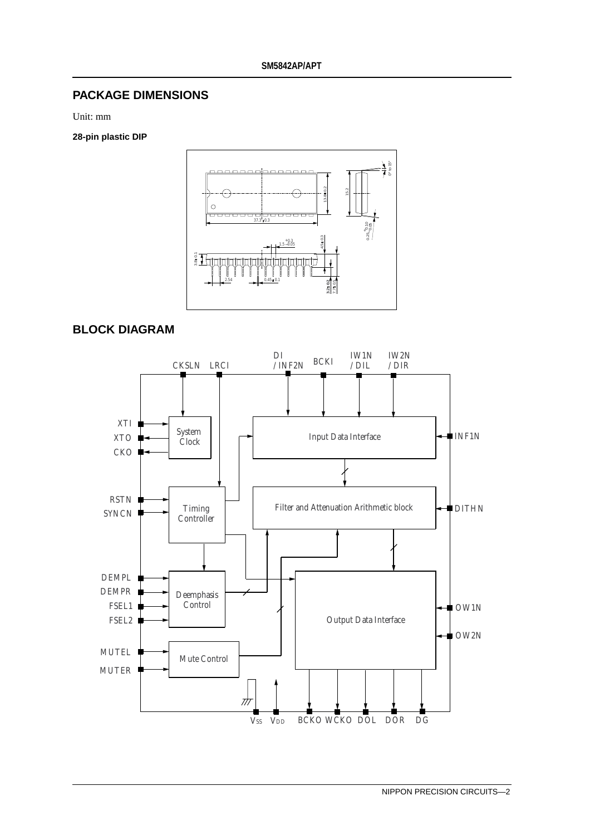# **PACKAGE DIMENSIONS**

Unit: mm

#### **28-pin plastic DIP**



### **BLOCK DIAGRAM**

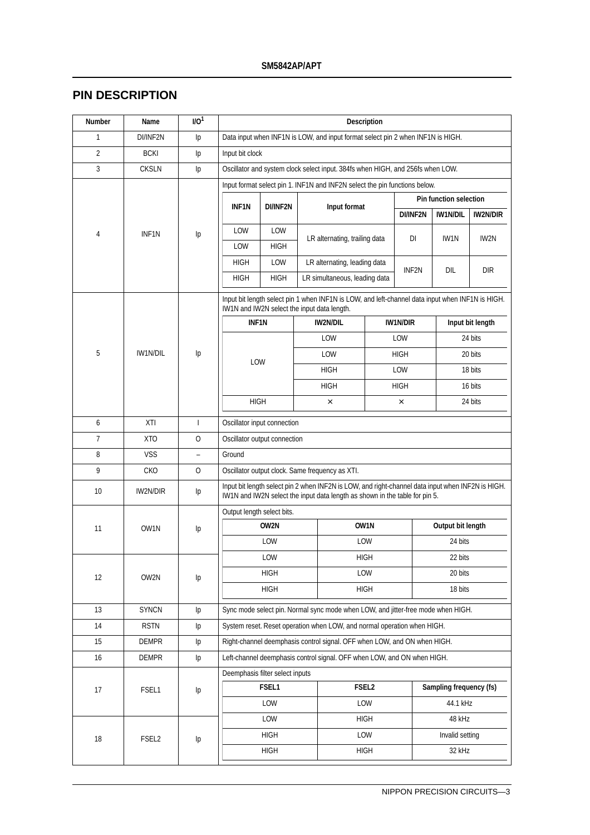# **PIN DESCRIPTION**

| Number         | Name               | IO <sup>1</sup> | <b>Description</b>                          |                                                                                 |  |                                                                                                                                                                                  |                   |                 |                               |                  |  |  |
|----------------|--------------------|-----------------|---------------------------------------------|---------------------------------------------------------------------------------|--|----------------------------------------------------------------------------------------------------------------------------------------------------------------------------------|-------------------|-----------------|-------------------------------|------------------|--|--|
| $\mathbf{1}$   | DI/INF2N           | Ip              |                                             | Data input when INF1N is LOW, and input format select pin 2 when INF1N is HIGH. |  |                                                                                                                                                                                  |                   |                 |                               |                  |  |  |
| 2              | <b>BCKI</b>        | Ip              |                                             | Input bit clock                                                                 |  |                                                                                                                                                                                  |                   |                 |                               |                  |  |  |
| 3              | <b>CKSLN</b>       | Ip              |                                             | Oscillator and system clock select input. 384fs when HIGH, and 256fs when LOW.  |  |                                                                                                                                                                                  |                   |                 |                               |                  |  |  |
|                |                    |                 |                                             | Input format select pin 1. INF1N and INF2N select the pin functions below.      |  |                                                                                                                                                                                  |                   |                 |                               |                  |  |  |
|                |                    |                 | <b>INF1N</b>                                | DI/INF2N                                                                        |  | Input format                                                                                                                                                                     |                   |                 | <b>Pin function selection</b> |                  |  |  |
|                |                    |                 |                                             |                                                                                 |  |                                                                                                                                                                                  |                   | DI/INF2N        | <b>IW1N/DIL</b>               | <b>IW2N/DIR</b>  |  |  |
| 4              | INF <sub>1</sub> N | Ip              | LOW                                         | LOW                                                                             |  | LR alternating, trailing data                                                                                                                                                    |                   | DI              | IW1N                          | IW2N             |  |  |
|                |                    |                 | LOW                                         | HIGH                                                                            |  |                                                                                                                                                                                  |                   |                 |                               |                  |  |  |
|                |                    |                 | <b>HIGH</b>                                 | LOW                                                                             |  | LR alternating, leading data                                                                                                                                                     |                   | INF2N           | DIL                           | <b>DIR</b>       |  |  |
|                |                    |                 | HIGH                                        | <b>HIGH</b>                                                                     |  | LR simultaneous, leading data                                                                                                                                                    |                   |                 |                               |                  |  |  |
|                |                    |                 |                                             |                                                                                 |  | Input bit length select pin 1 when INF1N is LOW, and left-channel data input when INF1N is HIGH.                                                                                 |                   |                 |                               |                  |  |  |
|                |                    |                 | IW1N and IW2N select the input data length. |                                                                                 |  |                                                                                                                                                                                  |                   |                 |                               |                  |  |  |
|                |                    |                 | <b>INF1N</b>                                |                                                                                 |  | <b>IW2N/DIL</b>                                                                                                                                                                  |                   | <b>IW1N/DIR</b> |                               | Input bit length |  |  |
|                |                    |                 |                                             |                                                                                 |  | LOW                                                                                                                                                                              |                   | LOW             |                               | 24 bits          |  |  |
| 5              | IW1N/DIL           | Ip              | LOW                                         |                                                                                 |  | LOW                                                                                                                                                                              |                   | <b>HIGH</b>     |                               | 20 bits          |  |  |
|                |                    |                 |                                             |                                                                                 |  | <b>HIGH</b>                                                                                                                                                                      |                   | LOW             |                               | 18 bits          |  |  |
|                |                    |                 |                                             |                                                                                 |  | <b>HIGH</b>                                                                                                                                                                      | <b>HIGH</b>       |                 | 16 bits                       |                  |  |  |
|                |                    |                 |                                             | <b>HIGH</b><br>24 bits<br>$\times$<br>$\times$                                  |  |                                                                                                                                                                                  |                   |                 |                               |                  |  |  |
| 6              | XTI                | $\mathbf{I}$    | Oscillator input connection                 |                                                                                 |  |                                                                                                                                                                                  |                   |                 |                               |                  |  |  |
| $\overline{7}$ | <b>XTO</b>         | $\mathbf{O}$    | Oscillator output connection                |                                                                                 |  |                                                                                                                                                                                  |                   |                 |                               |                  |  |  |
| 8              | <b>VSS</b>         | $\overline{a}$  | Ground                                      |                                                                                 |  |                                                                                                                                                                                  |                   |                 |                               |                  |  |  |
| 9              | <b>CKO</b>         | $\mathbf{O}$    |                                             |                                                                                 |  | Oscillator output clock. Same frequency as XTI.                                                                                                                                  |                   |                 |                               |                  |  |  |
| 10             | IW2N/DIR           | Ip              |                                             |                                                                                 |  | Input bit length select pin 2 when INF2N is LOW, and right-channel data input when INF2N is HIGH.<br>IW1N and IW2N select the input data length as shown in the table for pin 5. |                   |                 |                               |                  |  |  |
|                |                    |                 | Output length select bits.                  |                                                                                 |  |                                                                                                                                                                                  |                   |                 |                               |                  |  |  |
| 11             | OW1N               | Ip              |                                             | OW2N                                                                            |  |                                                                                                                                                                                  | OW1N              |                 | Output bit length             |                  |  |  |
|                |                    |                 |                                             | LOW<br>LOW                                                                      |  | 24 bits                                                                                                                                                                          |                   |                 |                               |                  |  |  |
|                |                    |                 |                                             | LOW                                                                             |  |                                                                                                                                                                                  | <b>HIGH</b>       |                 | 22 bits                       |                  |  |  |
| 12             | OW2N               | Ip              |                                             | HIGH                                                                            |  |                                                                                                                                                                                  | LOW               |                 | 20 bits                       |                  |  |  |
|                |                    |                 |                                             | <b>HIGH</b>                                                                     |  |                                                                                                                                                                                  | <b>HIGH</b>       |                 | 18 bits                       |                  |  |  |
| 13             | <b>SYNCN</b>       | Ip              |                                             |                                                                                 |  | Sync mode select pin. Normal sync mode when LOW, and jitter-free mode when HIGH.                                                                                                 |                   |                 |                               |                  |  |  |
| 14             | <b>RSTN</b>        | Ip              |                                             |                                                                                 |  | System reset. Reset operation when LOW, and normal operation when HIGH.                                                                                                          |                   |                 |                               |                  |  |  |
| 15             | DEMPR              | Ip              |                                             |                                                                                 |  | Right-channel deemphasis control signal. OFF when LOW, and ON when HIGH.                                                                                                         |                   |                 |                               |                  |  |  |
| 16             | DEMPR              | Ip              |                                             |                                                                                 |  | Left-channel deemphasis control signal. OFF when LOW, and ON when HIGH.                                                                                                          |                   |                 |                               |                  |  |  |
|                |                    |                 | Deemphasis filter select inputs             |                                                                                 |  |                                                                                                                                                                                  |                   |                 |                               |                  |  |  |
| 17             | FSEL1              | Ip              |                                             | FSEL1                                                                           |  |                                                                                                                                                                                  | FSEL <sub>2</sub> |                 | Sampling frequency (fs)       |                  |  |  |
|                |                    |                 |                                             | LOW                                                                             |  |                                                                                                                                                                                  | LOW               |                 | 44.1 kHz                      |                  |  |  |
|                |                    |                 |                                             | LOW                                                                             |  |                                                                                                                                                                                  | <b>HIGH</b>       |                 | 48 kHz                        |                  |  |  |
| 18             | FSEL <sub>2</sub>  | Ip              |                                             | <b>HIGH</b>                                                                     |  |                                                                                                                                                                                  | LOW               |                 | Invalid setting               |                  |  |  |
|                |                    |                 |                                             | <b>HIGH</b>                                                                     |  |                                                                                                                                                                                  | <b>HIGH</b>       |                 | 32 kHz                        |                  |  |  |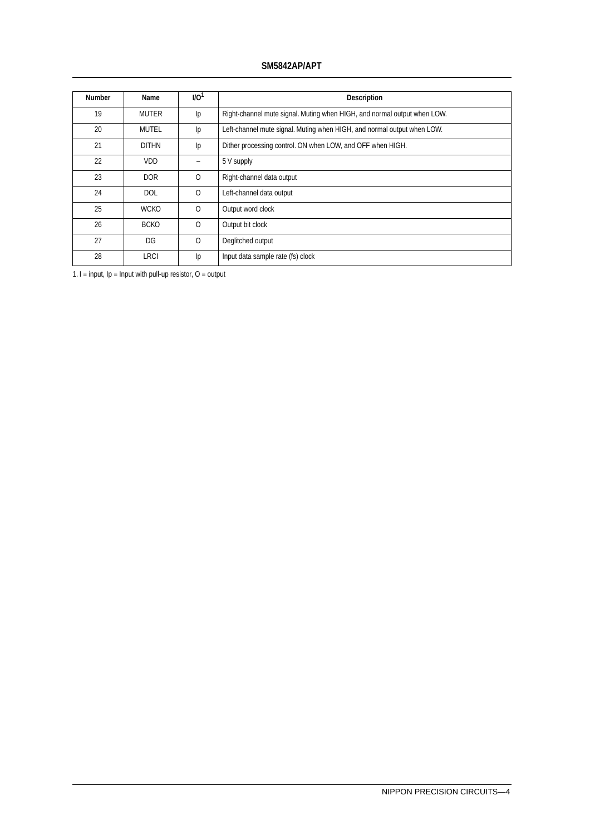### **SM5842AP/APT**

| <b>Number</b> | Name         | 1/10 <sup>1</sup> | <b>Description</b>                                                       |
|---------------|--------------|-------------------|--------------------------------------------------------------------------|
| 19            | <b>MUTER</b> | Ip                | Right-channel mute signal. Muting when HIGH, and normal output when LOW. |
| 20            | MUTEL        | Ip                | Left-channel mute signal. Muting when HIGH, and normal output when LOW.  |
| 21            | <b>DITHN</b> | Ip                | Dither processing control. ON when LOW, and OFF when HIGH.               |
| 22            | <b>VDD</b>   | -                 | 5 V supply                                                               |
| 23            | <b>DOR</b>   | $\Omega$          | Right-channel data output                                                |
| 24            | <b>DOL</b>   | $\Omega$          | Left-channel data output                                                 |
| 25            | <b>WCKO</b>  | $\Omega$          | Output word clock                                                        |
| 26            | <b>BCKO</b>  | $\Omega$          | Output bit clock                                                         |
| 27            | DG           | $\mathbf{O}$      | Deglitched output                                                        |
| 28            | LRCI         | Ip                | Input data sample rate (fs) clock                                        |

1. I = input, Ip = Input with pull-up resistor, O = output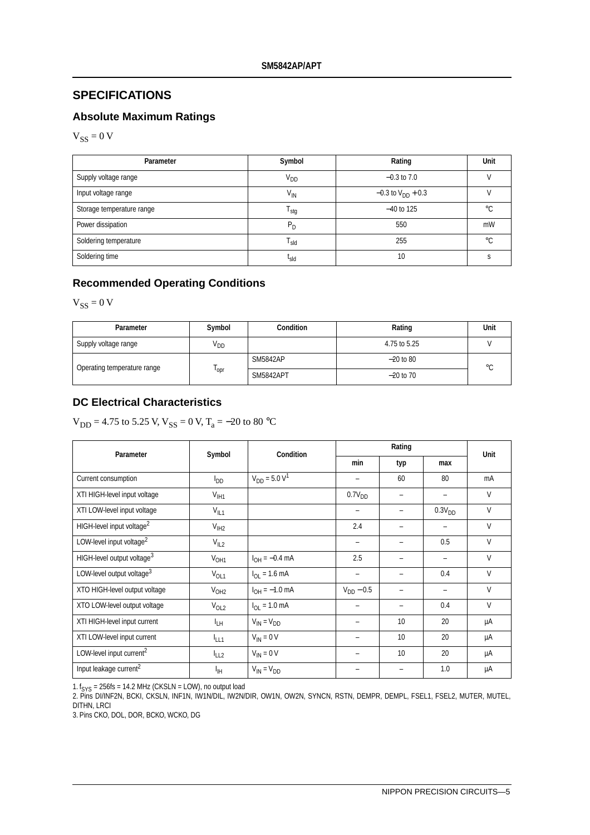# **SPECIFICATIONS**

# **Absolute Maximum Ratings**

 $V_{SS} = 0 V$ 

| Parameter                 | Symbol                                | Rating                          | Unit        |
|---------------------------|---------------------------------------|---------------------------------|-------------|
| Supply voltage range      | V <sub>DD</sub>                       | $-0.3$ to 7.0                   |             |
| Input voltage range       | $V_{\text{IN}}$                       | $-0.3$ to V <sub>DD</sub> + 0.3 |             |
| Storage temperature range | <sup>I</sup> stg                      | $-40$ to 125                    | $^{\circ}C$ |
| Power dissipation         | $P_D$                                 | 550                             | mW          |
| Soldering temperature     | $\mathsf{T}_{\mathsf{S} \mathsf{Id}}$ | 255                             | $^{\circ}C$ |
| Soldering time            | <sup>l</sup> sld                      | 10                              |             |

# **Recommended Operating Conditions**

 $V_{SS} = 0 V$ 

| Parameter                   | Symbol          | <b>Condition</b> | Rating       | Unit    |
|-----------------------------|-----------------|------------------|--------------|---------|
| Supply voltage range        | V <sub>DD</sub> |                  | 4.75 to 5.25 |         |
| Operating temperature range |                 | <b>SM5842AP</b>  | $-20$ to 80  | $\circ$ |
|                             | 'opr            | <b>SM5842APT</b> | $-20$ to 70  |         |

### **DC Electrical Characteristics**

 $V_{DD} = 4.75$  to 5.25 V,  $V_{SS} = 0$  V,  $T_a = -20$  to 80 °C

| Parameter                              | Symbol           | Condition                       |                          | Rating |                    |              |  |
|----------------------------------------|------------------|---------------------------------|--------------------------|--------|--------------------|--------------|--|
|                                        |                  |                                 | min                      | typ    | max                | Unit         |  |
| Current consumption                    | $I_{DD}$         | $V_{DD} = 5.0 V^1$              |                          | 60     | 80                 | mA           |  |
| XTI HIGH-level input voltage           | $V_{\text{I}H1}$ |                                 | $0.7V_{DD}$              |        |                    | $\mathsf{V}$ |  |
| XTI LOW-level input voltage            | $V_{IL1}$        |                                 |                          |        | 0.3V <sub>DD</sub> | V            |  |
| HIGH-level input voltage <sup>2</sup>  | V <sub>IH2</sub> |                                 | 2.4                      |        |                    | V            |  |
| LOW-level input voltage <sup>2</sup>   | $V_{IL2}$        |                                 | $\overline{\phantom{m}}$ |        | 0.5                | V            |  |
| HIGH-level output voltage <sup>3</sup> | V <sub>OH1</sub> | $I_{OH} = -0.4$ mA              | 2.5                      |        | -                  | $\mathsf{V}$ |  |
| LOW-level output voltage <sup>3</sup>  | $V_{OL1}$        | $I_{\Omega I} = 1.6 \text{ mA}$ | $\overline{\phantom{m}}$ |        | 0.4                | V            |  |
| XTO HIGH-level output voltage          | V <sub>OH2</sub> | $I_{OH} = -1.0$ mA              | $V_{DD} - 0.5$           |        | $\qquad \qquad -$  | $\vee$       |  |
| XTO LOW-level output voltage           | $V_{OL2}$        | $I_{OL} = 1.0$ mA               |                          |        | 0.4                | $\vee$       |  |
| XTI HIGH-level input current           | <sup>I</sup> LH  | $V_{IN} = V_{DD}$               |                          | 10     | 20                 | μA           |  |
| XTI LOW-level input current            | <sup>I</sup> LL1 | $V_{IN} = 0 V$                  |                          | 10     | 20                 | μA           |  |
| LOW-level input current <sup>2</sup>   | $l_{LL2}$        | $V_{IN} = 0 V$                  |                          | 10     | 20                 | μA           |  |
| Input leakage current <sup>2</sup>     | ŀщ               | $V_{IN} = V_{DD}$               |                          |        | 1.0                | μA           |  |

1. f<sub>SYS</sub> = 256fs = 14.2 MHz (CKSLN = LOW), no output load<br>2. Pins DI/INF2N, BCKI, CKSLN, INF1N, IW1N/DIL, IW2N/DIR, OW1N, OW2N, SYNCN, RSTN, DEMPR, DEMPL, FSEL1, FSEL2, MUTER, MUTEL, DITHN, LRCI

3. Pins CKO, DOL, DOR, BCKO, WCKO, DG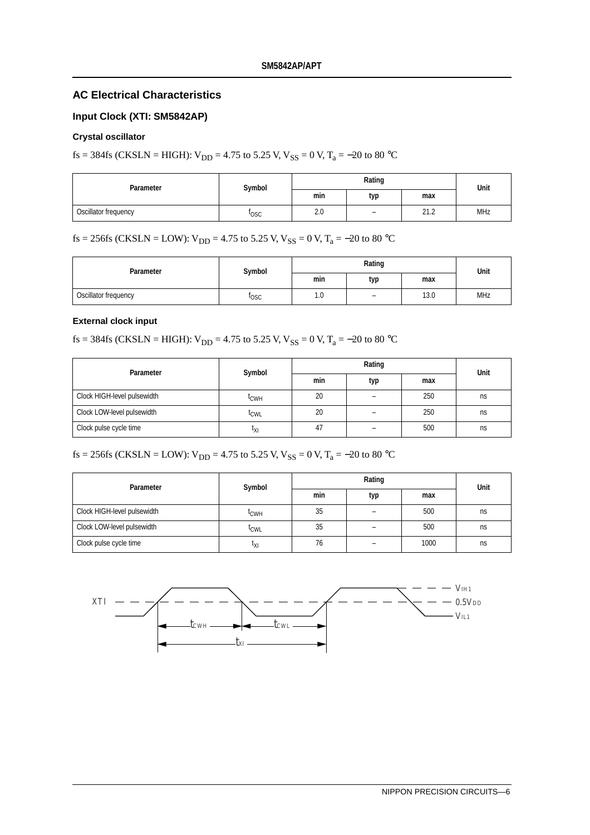### **AC Electrical Characteristics**

### **Input Clock (XTI: SM5842AP)**

### **Crystal oscillator**

fs = 384fs (CKSLN = HIGH):  $V_{DD}$  = 4.75 to 5.25 V,  $V_{SS}$  = 0 V, T<sub>a</sub> = -20 to 80 °C

| Parameter            | Symbol      |     | Rating                   | Unit |            |
|----------------------|-------------|-----|--------------------------|------|------------|
|                      |             | min | typ                      | max  |            |
| Oscillator frequency | <b>POSC</b> | 2.0 | $\overline{\phantom{0}}$ | 21.2 | <b>MHz</b> |

fs = 256fs (CKSLN = LOW):  $V_{DD}$  = 4.75 to 5.25 V,  $V_{SS}$  = 0 V, T<sub>a</sub> = -20 to 80 °C

| Parameter            | Symbol      |     | Rating                   |      | Unit       |
|----------------------|-------------|-----|--------------------------|------|------------|
|                      |             | min | typ                      | max  |            |
| Oscillator frequency | <b>POSC</b> | 1.0 | $\overline{\phantom{0}}$ | 13.0 | <b>MHz</b> |

#### **External clock input**

fs = 384fs (CKSLN = HIGH):  $V_{DD}$  = 4.75 to 5.25 V,  $V_{SS}$  = 0 V, T<sub>a</sub> = -20 to 80 °C

| Parameter                   | Symbol           |     | Unit |     |    |  |
|-----------------------------|------------------|-----|------|-----|----|--|
|                             |                  | min | typ  | max |    |  |
| Clock HIGH-level pulsewidth | <sup>L</sup> CWH | 20  |      | 250 | ns |  |
| Clock LOW-level pulsewidth  | ≀cw∟             | 20  |      | 250 | ns |  |
| Clock pulse cycle time      | ιχι              | 47  |      | 500 | ns |  |

fs = 256fs (CKSLN = LOW):  $V_{DD}$  = 4.75 to 5.25 V,  $V_{SS}$  = 0 V, T<sub>a</sub> = -20 to 80 °C

| Parameter                   | Symbol           |     | Unit |      |    |  |
|-----------------------------|------------------|-----|------|------|----|--|
|                             |                  | min | typ  | max  |    |  |
| Clock HIGH-level pulsewidth | <sup>L</sup> CWH | 35  |      | 500  | ns |  |
| Clock LOW-level pulsewidth  | <sup>l</sup> CWL | 35  |      | 500  | ns |  |
| Clock pulse cycle time      | ιχι              | 76  |      | 1000 | ns |  |

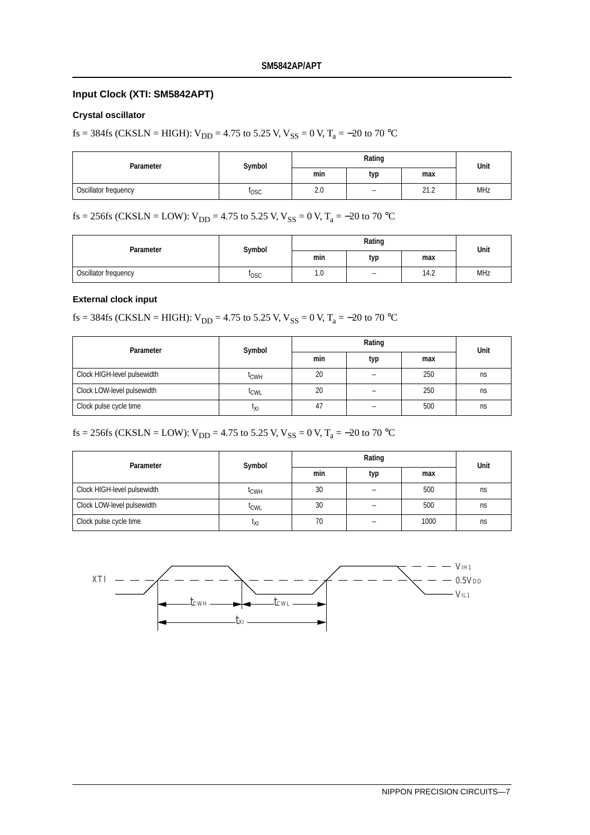#### **Input Clock (XTI: SM5842APT)**

#### **Crystal oscillator**

fs = 384fs (CKSLN = HIGH):  $V_{DD}$  = 4.75 to 5.25 V,  $V_{SS}$  = 0 V, T<sub>a</sub> = -20 to 70 °C

| Parameter            | Symbol |     | Unit                     |                |            |
|----------------------|--------|-----|--------------------------|----------------|------------|
|                      |        | min | typ                      | max            |            |
| Oscillator frequency | losc   | 2.0 | $\overline{\phantom{0}}$ | ว1 ว<br>ے ، اے | <b>MHz</b> |

# fs = 256fs (CKSLN = LOW):  $V_{DD}$  = 4.75 to 5.25 V,  $V_{SS}$  = 0 V, T<sub>a</sub> = -20 to 70 °C

| Parameter            | Symbol      |     | Unit                     |      |            |  |
|----------------------|-------------|-----|--------------------------|------|------------|--|
|                      |             | min | typ                      | max  |            |  |
| Oscillator frequency | <b>losc</b> | 1.0 | $\overline{\phantom{0}}$ | 14.2 | <b>MHz</b> |  |

#### **External clock input**

fs = 384fs (CKSLN = HIGH):  $V_{DD}$  = 4.75 to 5.25 V,  $V_{SS}$  = 0 V, T<sub>a</sub> = -20 to 70 °C

| Parameter                   | Symbol           |     | Unit |     |    |  |
|-----------------------------|------------------|-----|------|-----|----|--|
|                             |                  | min | typ  | max |    |  |
| Clock HIGH-level pulsewidth | <sup>L</sup> CWH | 20  |      | 250 | ns |  |
| Clock LOW-level pulsewidth  | <sup>l</sup> CWL | 20  |      | 250 | ns |  |
| Clock pulse cycle time      | ιχι              | 47  |      | 500 | ns |  |

# fs = 256fs (CKSLN = LOW):  $V_{DD}$  = 4.75 to 5.25 V,  $V_{SS}$  = 0 V, T<sub>a</sub> = -20 to 70 °C

| Parameter                   | Symbol           |     | Unit |      |    |
|-----------------------------|------------------|-----|------|------|----|
|                             |                  | min | typ  | max  |    |
| Clock HIGH-level pulsewidth | <sup>L</sup> CWH | 30  |      | 500  | ns |
| Clock LOW-level pulsewidth  | <sup>L</sup> CWL | 30  |      | 500  | ns |
| Clock pulse cycle time      | ιχι              | 70  |      | 1000 | ns |

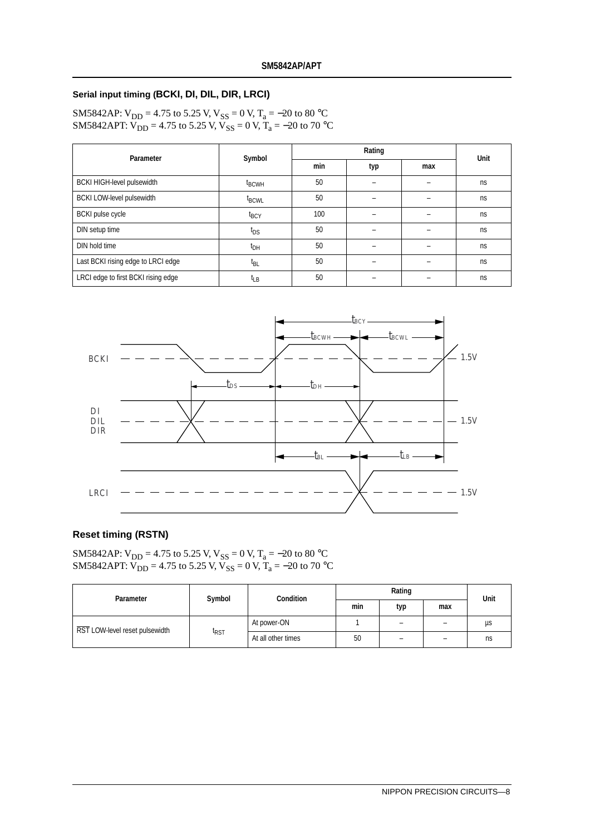#### **Serial input timing (BCKI, DI, DIL, DIR, LRCI)**

SM5842AP:  $V_{DD}$  = 4.75 to 5.25 V,  $V_{SS}$  = 0 V, T<sub>a</sub> = -20 to 80 °C SM5842APT:  $V_{DD} = 4.75$  to 5.25 V,  $V_{SS} = 0$  V,  $T_a = -20$  to 70 °C

| Parameter                           | Symbol            |     | Rating |     | Unit |
|-------------------------------------|-------------------|-----|--------|-----|------|
|                                     |                   | min | typ    | max |      |
| <b>BCKI HIGH-level pulsewidth</b>   | $t_{\text{BCWH}}$ | 50  |        |     | ns   |
| <b>BCKI LOW-level pulsewidth</b>    | $t_{\text{BCWL}}$ | 50  |        |     | ns   |
| <b>BCKI</b> pulse cycle             | $t_{\text{BCY}}$  | 100 |        |     | ns   |
| DIN setup time                      | $t_{DS}$          | 50  |        |     | ns   |
| DIN hold time                       | $t_{DH}$          | 50  |        |     | ns   |
| Last BCKI rising edge to LRCI edge  | t <sub>BL</sub>   | 50  |        |     | ns   |
| LRCI edge to first BCKI rising edge | ЧB                | 50  |        |     | ns   |



#### **Reset timing (RSTN)**

SM5842AP:  $V_{DD}$  = 4.75 to 5.25 V,  $V_{SS}$  = 0 V, T<sub>a</sub> = -20 to 80 °C SM5842APT:  $V_{DD} = 4.75$  to 5.25 V,  $V_{SS} = 0$  V,  $T_a = -20$  to 70 °C

| Parameter                      | Symbol           | <b>Condition</b>   | Rating |     |     | Unit |
|--------------------------------|------------------|--------------------|--------|-----|-----|------|
|                                |                  |                    | min    | typ | max |      |
| RST LOW-level reset pulsewidth |                  | At power-ON        |        |     | -   | us   |
|                                | <sup>I</sup> RST | At all other times | 50     |     | -   | ns   |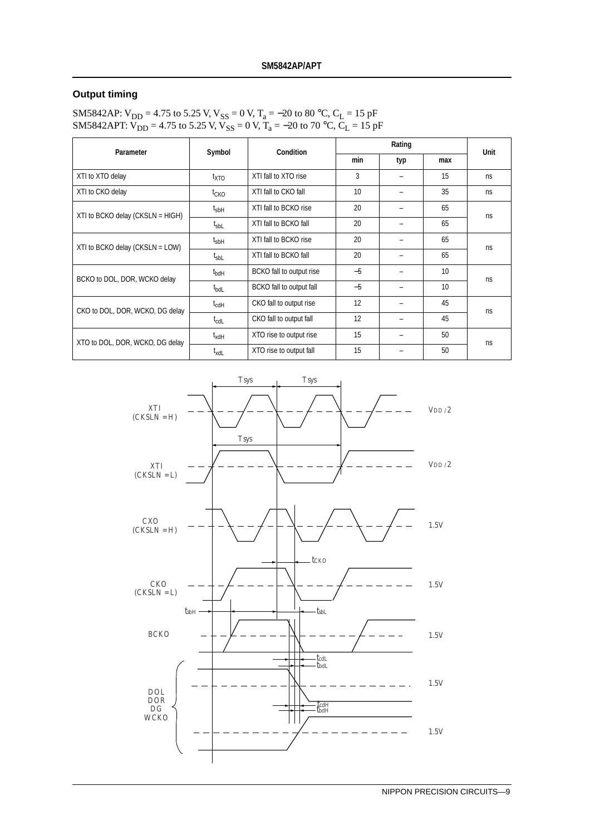#### **Output timing**

SM5842AP: V<sub>DD</sub> = 4.75 to 5.25 V, V<sub>SS</sub> = 0 V, T<sub>a</sub> = –20 to 80 °C, C<sub>L</sub> = 15 pF SM5842APT:  $V_{DD}$  = 4.75 to 5.25 V,  $V_{SS}$  = 0 V, T<sub>a</sub> = -20 to 70 °C, C<sub>L</sub> = 15 pF

| Parameter                           | Symbol<br>Condition |                          |      | Rating |     |             |  |
|-------------------------------------|---------------------|--------------------------|------|--------|-----|-------------|--|
|                                     |                     |                          | min  | typ    | max | <b>Unit</b> |  |
| XTI to XTO delay                    | t <sub>XTO</sub>    | XTI fall to XTO rise     | 3    |        | 15  | ns.         |  |
| XTI to CKO delay                    | t <sub>CKO</sub>    | XTI fall to CKO fall     | 10   |        | 35  | ns.         |  |
| XTI to BCKO delay (CKSLN = $HIGH$ ) | $t_{sbH}$           | XTI fall to BCKO rise    | 20   |        | 65  | ns          |  |
|                                     | $t_{\text{sbL}}$    | XTI fall to BCKO fall    | 20   |        | 65  |             |  |
| XTI to BCKO delay (CKSLN = $LOW$ )  | $t_{sbH}$           | XTI fall to BCKO rise    | 20   |        | 65  | ns.         |  |
|                                     | $t_{\text{shL}}$    | XTI fall to BCKO fall    | 20   |        | 65  |             |  |
| BCKO to DOL, DOR, WCKO delay        | $t_{\sf bdH}$       | BCKO fall to output rise | $-5$ |        | 10  | ns          |  |
|                                     | $t_{\text{bdl}}$    | BCKO fall to output fall | $-5$ |        | 10  |             |  |
| CKO to DOL, DOR, WCKO, DG delay     | $t_{\text{cdH}}$    | CKO fall to output rise  | 12   |        | 45  | ns          |  |
|                                     | $t_{\text{cdL}}$    | CKO fall to output fall  | 12   |        | 45  |             |  |
| XTO to DOL, DOR, WCKO, DG delay     | $t_{\mathsf{xdH}}$  | XTO rise to output rise  | 15   |        | 50  | ns          |  |
|                                     | $I_{\text{XdL}}$    | XTO rise to output fall  | 15   |        | 50  |             |  |

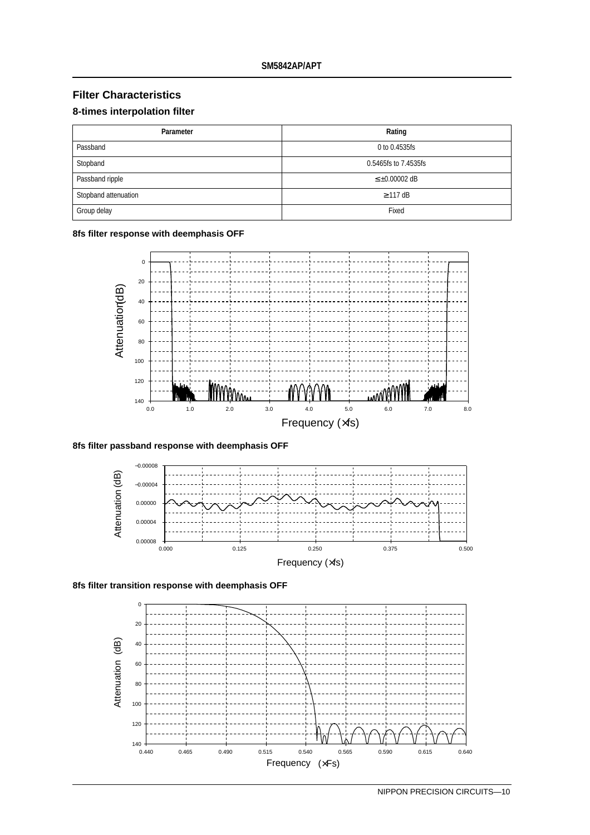# **Filter Characteristics**

#### **8-times interpolation filter**

| Parameter            | Rating                |
|----------------------|-----------------------|
| Passband             | 0 to 0.4535fs         |
| Stopband             | 0.5465fs to 7.4535fs  |
| Passband ripple      | $\leq \pm 0.00002$ dB |
| Stopband attenuation | $\geq$ 117 dB         |
| Group delay          | Fixed                 |

#### **8fs filter response with deemphasis OFF**



#### **8fs filter passband response with deemphasis OFF**



**8fs filter transition response with deemphasis OFF**

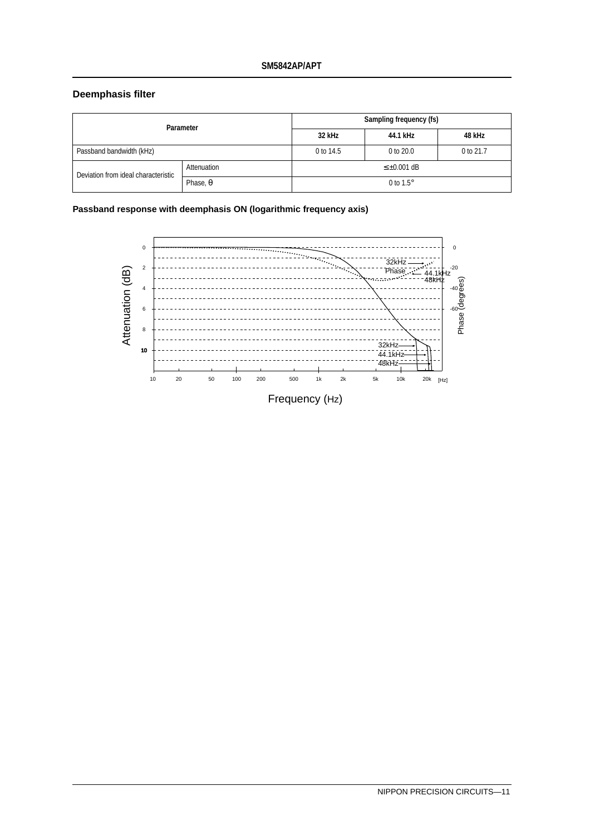#### **Deemphasis filter**

| Parameter                           |                 | Sampling frequency (fs) |           |           |  |
|-------------------------------------|-----------------|-------------------------|-----------|-----------|--|
|                                     |                 | 32 kHz                  | 44.1 kHz  | 48 kHz    |  |
| Passband bandwidth (kHz)            |                 | 0 to 14.5               | 0 to 20.0 | 0 to 21.7 |  |
| Deviation from ideal characteristic | Attenuation     | $\leq \pm 0.001$ dB     |           |           |  |
|                                     | Phase, $\theta$ | 0 to $1.5^\circ$        |           |           |  |

**Passband response with deemphasis ON (logarithmic frequency axis)**

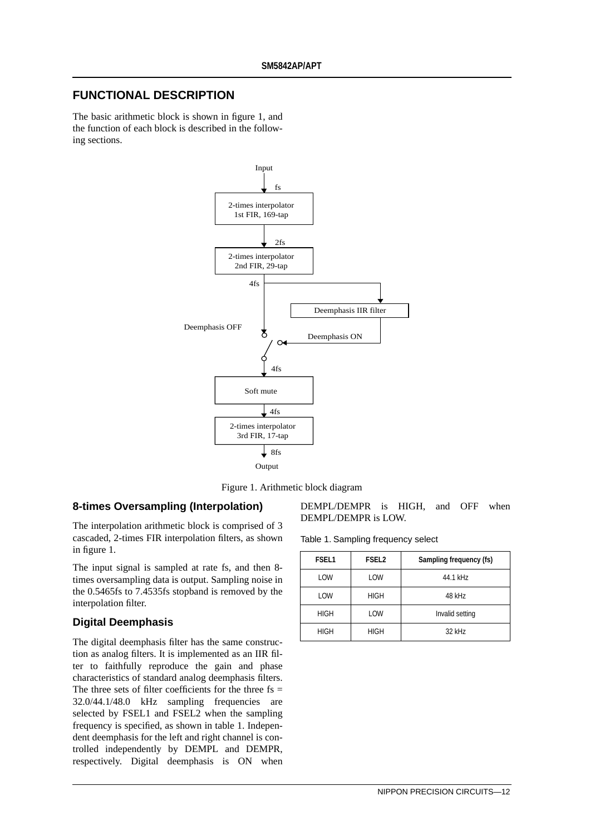# **FUNCTIONAL DESCRIPTION**

The basic arithmetic block is shown in figure 1, and the function of each block is described in the following sections.



Figure 1. Arithmetic block diagram

#### **8-times Oversampling (Interpolation)**

The interpolation arithmetic block is comprised of 3 cascaded, 2-times FIR interpolation filters, as shown in figure 1.

The input signal is sampled at rate fs, and then 8 times oversampling data is output. Sampling noise in the 0.5465fs to 7.4535fs stopband is removed by the interpolation filter.

### **Digital Deemphasis**

The digital deemphasis filter has the same construction as analog filters. It is implemented as an IIR filter to faithfully reproduce the gain and phase characteristics of standard analog deemphasis filters. The three sets of filter coefficients for the three  $fs =$ 32.0/44.1/48.0 kHz sampling frequencies are selected by FSEL1 and FSEL2 when the sampling frequency is specified, as shown in table 1. Independent deemphasis for the left and right channel is controlled independently by DEMPL and DEMPR, respectively. Digital deemphasis is ON when DEMPL/DEMPR is HIGH, and OFF when DEMPL/DEMPR is LOW.

Table 1. Sampling frequency select

| <b>FSEL1</b> | <b>FSEL2</b><br>Sampling frequency (fs) |                 |  |
|--------------|-----------------------------------------|-----------------|--|
| LOW          | LOW                                     | 44.1 kHz        |  |
| LOW          | <b>HIGH</b>                             | 48 kHz          |  |
| <b>HIGH</b>  | LOW                                     | Invalid setting |  |
| <b>HIGH</b>  | <b>HIGH</b>                             | 32 kHz          |  |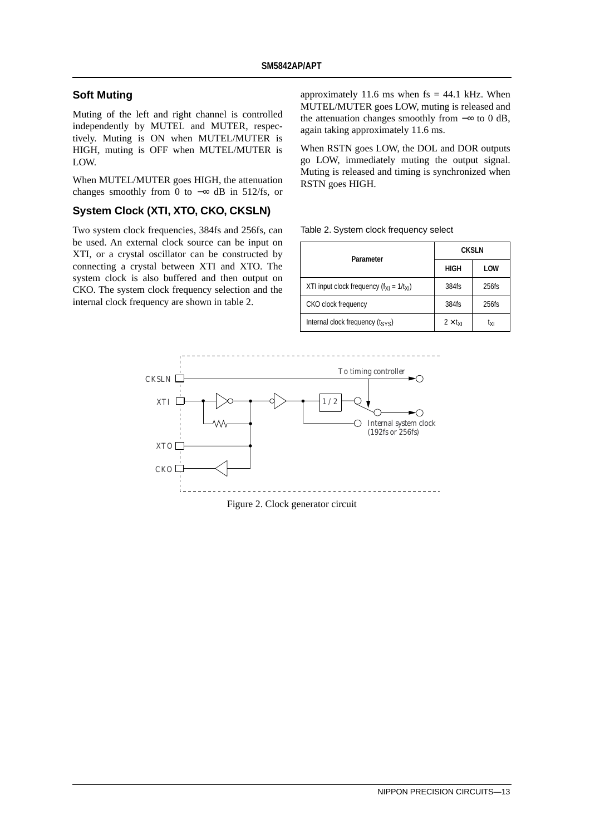### **Soft Muting**

Muting of the left and right channel is controlled independently by MUTEL and MUTER, respectively. Muting is ON when MUTEL/MUTER is HIGH, muting is OFF when MUTEL/MUTER is LOW.

When MUTEL/MUTER goes HIGH, the attenuation changes smoothly from 0 to  $-\infty$  dB in 512/fs, or

### **System Clock (XTI, XTO, CKO, CKSLN)**

Two system clock frequencies, 384fs and 256fs, can be used. An external clock source can be input on XTI, or a crystal oscillator can be constructed by connecting a crystal between XTI and XTO. The system clock is also buffered and then output on CKO. The system clock frequency selection and the internal clock frequency are shown in table 2.

approximately 11.6 ms when  $fs = 44.1$  kHz. When MUTEL/MUTER goes LOW, muting is released and the attenuation changes smoothly from −∞ to 0 dB, again taking approximately 11.6 ms.

When RSTN goes LOW, the DOL and DOR outputs go LOW, immediately muting the output signal. Muting is released and timing is synchronized when RSTN goes HIGH.

Table 2. System clock frequency select

| Parameter                                       | <b>CKSLN</b>          |          |  |
|-------------------------------------------------|-----------------------|----------|--|
|                                                 | <b>HIGH</b>           | LOW      |  |
| XTI input clock frequency $(f_{X1} = 1/t_{X1})$ | 384fs                 | $256$ fs |  |
| CKO clock frequency                             | 384fs                 | $256$ fs |  |
| Internal clock frequency $(t_{\text{SYS}})$     | $2 \times t_{\rm VI}$ | ιχι      |  |



Figure 2. Clock generator circuit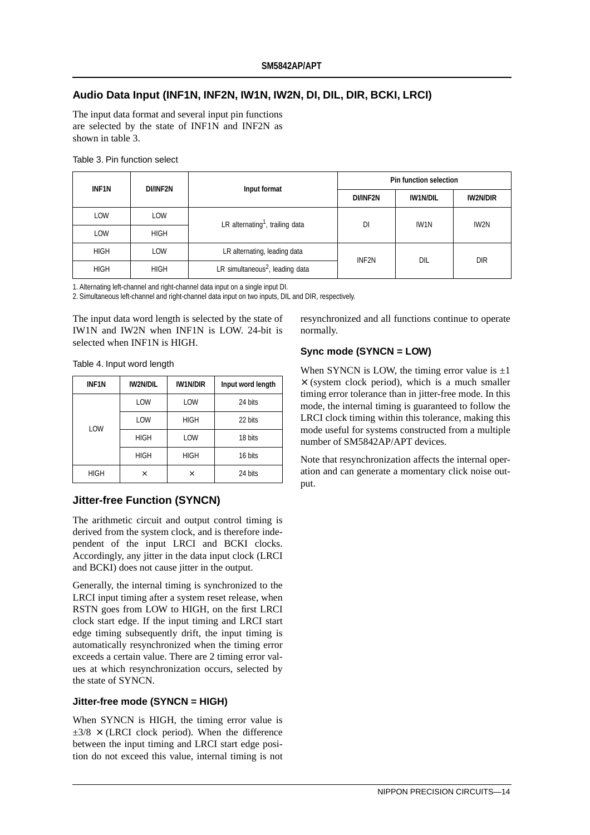### **Audio Data Input (INF1N, INF2N, IW1N, IW2N, DI, DIL, DIR, BCKI, LRCI)**

The input data format and several input pin functions are selected by the state of INF1N and INF2N as shown in table 3.

| <b>INF1N</b> | DI/INF2N    | Input format                                | <b>Pin function selection</b> |                 |      |
|--------------|-------------|---------------------------------------------|-------------------------------|-----------------|------|
|              |             | DI/INF2N                                    | <b>IW1N/DIL</b>               | <b>IW2N/DIR</b> |      |
| LOW          | LOW         | LR alternating <sup>1</sup> , trailing data | DI                            | IW1N            | IW2N |
| LOW          | <b>HIGH</b> |                                             |                               |                 |      |
| <b>HIGH</b>  | LOW         | LR alternating, leading data                | INF2N                         | DIL             | Dir  |
| <b>HIGH</b>  | <b>HIGH</b> | LR simultaneous <sup>2</sup> , leading data |                               |                 |      |

Table 3. Pin function select

1. Alternating left-channel and right-channel data input on a single input DI.

2. Simultaneous left-channel and right-channel data input on two inputs, DIL and DIR, respectively.

The input data word length is selected by the state of IW1N and IW2N when INF1N is LOW. 24-bit is selected when INF1N is HIGH.

Table 4. Input word length

| <b>INF1N</b> | <b>IW2N/DIL</b> | <b>IW1N/DIR</b> | Input word length |
|--------------|-----------------|-----------------|-------------------|
|              | LOW             | <b>LOW</b>      | 24 bits           |
|              | LOW             | <b>HIGH</b>     | 22 bits           |
| LOW          | <b>HIGH</b>     | <b>LOW</b>      | 18 bits           |
|              | <b>HIGH</b>     | <b>HIGH</b>     | 16 bits           |
| <b>HIGH</b>  | ×               | ×               | 24 bits           |

#### **Jitter-free Function (SYNCN)**

The arithmetic circuit and output control timing is derived from the system clock, and is therefore independent of the input LRCI and BCKI clocks. Accordingly, any jitter in the data input clock (LRCI and BCKI) does not cause jitter in the output.

Generally, the internal timing is synchronized to the LRCI input timing after a system reset release, when RSTN goes from LOW to HIGH, on the first LRCI clock start edge. If the input timing and LRCI start edge timing subsequently drift, the input timing is automatically resynchronized when the timing error exceeds a certain value. There are 2 timing error values at which resynchronization occurs, selected by the state of SYNCN.

#### **Jitter-free mode (SYNCN = HIGH)**

When SYNCN is HIGH, the timing error value is  $\pm 3/8 \times$  (LRCI clock period). When the difference between the input timing and LRCI start edge position do not exceed this value, internal timing is not

resynchronized and all functions continue to operate normally.

#### **Sync mode (SYNCN = LOW)**

When SYNCN is LOW, the timing error value is  $\pm 1$  $\times$  (system clock period), which is a much smaller timing error tolerance than in jitter-free mode. In this mode, the internal timing is guaranteed to follow the LRCI clock timing within this tolerance, making this mode useful for systems constructed from a multiple number of SM5842AP/APT devices.

Note that resynchronization affects the internal operation and can generate a momentary click noise output.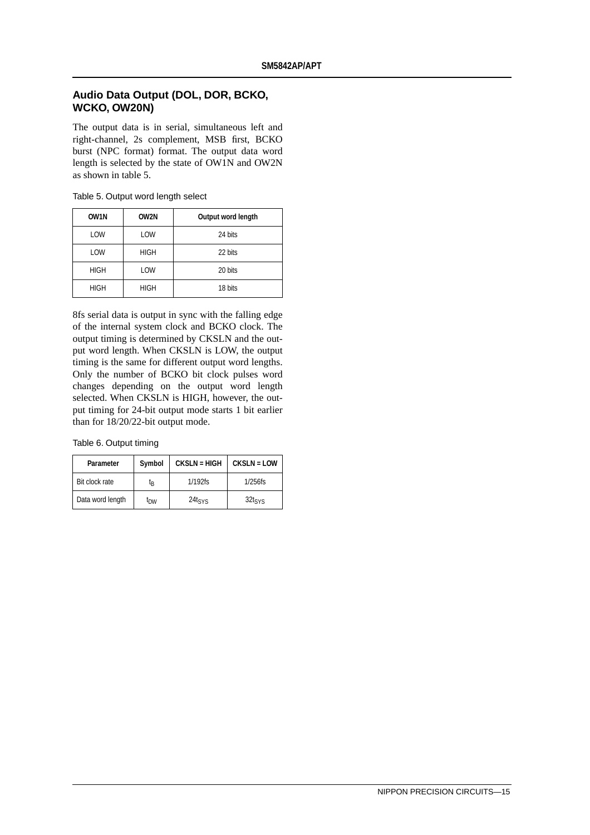### **Audio Data Output (DOL, DOR, BCKO, WCKO, OW20N)**

The output data is in serial, simultaneous left and right-channel, 2s complement, MSB first, BCKO burst (NPC format) format. The output data word length is selected by the state of OW1N and OW2N as shown in table 5.

| OW <sub>1N</sub> | OW2N        | Output word length |
|------------------|-------------|--------------------|
| LOW              | LOW         | 24 bits            |
| LOW              | <b>HIGH</b> | 22 bits            |
| <b>HIGH</b>      | LOW         | 20 bits            |
| <b>HIGH</b>      | <b>HIGH</b> | 18 bits            |

Table 5. Output word length select

8fs serial data is output in sync with the falling edge of the internal system clock and BCKO clock. The output timing is determined by CKSLN and the output word length. When CKSLN is LOW, the output timing is the same for different output word lengths. Only the number of BCKO bit clock pulses word changes depending on the output word length selected. When CKSLN is HIGH, however, the output timing for 24-bit output mode starts 1 bit earlier than for 18/20/22-bit output mode.

Table 6. Output timing

| Parameter        | Symbol          |             | <b>CKSLN = LOW</b> |
|------------------|-----------------|-------------|--------------------|
| Bit clock rate   | ίg              | $1/192$ fs  | $1/256$ fs         |
| Data word length | I <sub>DW</sub> | $24t_{SYS}$ | $32$ tsvs          |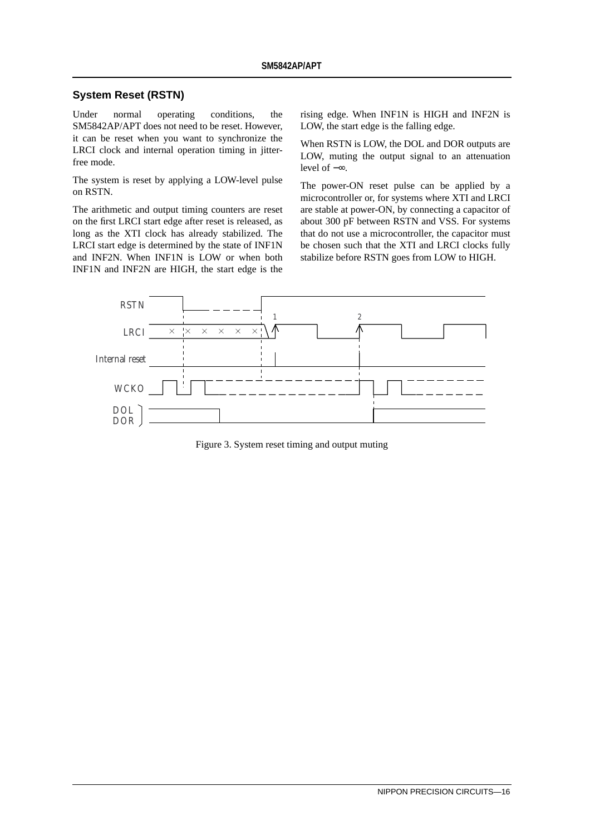#### **System Reset (RSTN)**

Under normal operating conditions, the SM5842AP/APT does not need to be reset. However, it can be reset when you want to synchronize the LRCI clock and internal operation timing in jitterfree mode.

The system is reset by applying a LOW-level pulse on RSTN.

The arithmetic and output timing counters are reset on the first LRCI start edge after reset is released, as long as the XTI clock has already stabilized. The LRCI start edge is determined by the state of INF1N and INF2N. When INF1N is LOW or when both INF1N and INF2N are HIGH, the start edge is the

rising edge. When INF1N is HIGH and INF2N is LOW, the start edge is the falling edge.

When RSTN is LOW, the DOL and DOR outputs are LOW, muting the output signal to an attenuation level of −∞.

The power-ON reset pulse can be applied by a microcontroller or, for systems where XTI and LRCI are stable at power-ON, by connecting a capacitor of about 300 pF between RSTN and VSS. For systems that do not use a microcontroller, the capacitor must be chosen such that the XTI and LRCI clocks fully stabilize before RSTN goes from LOW to HIGH.



Figure 3. System reset timing and output muting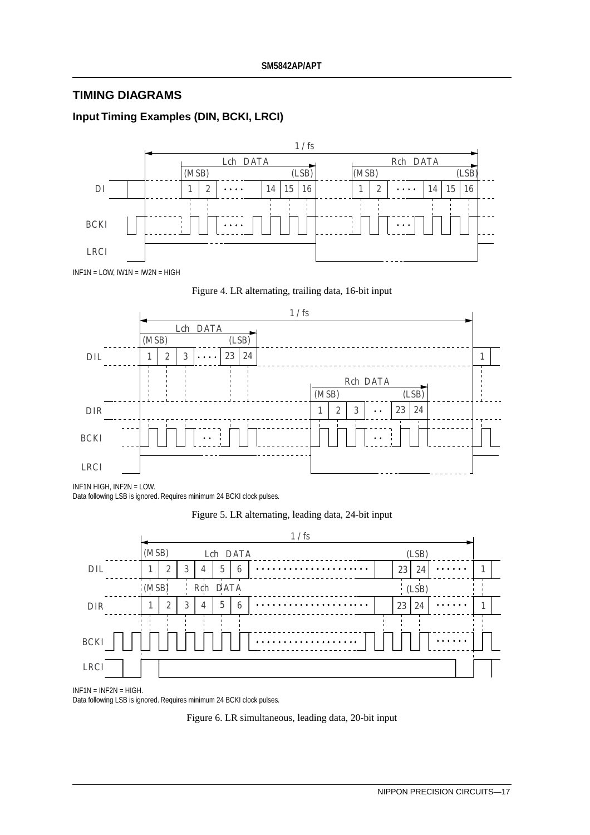# **TIMING DIAGRAMS**

# **Input Timing Examples (DIN, BCKI, LRCI)**







INF1N HIGH, INF2N = LOW. Data following LSB is ignored. Requires minimum 24 BCKI clock pulses.

### Figure 5. LR alternating, leading data, 24-bit input



INF1N = INF2N = HIGH.

Data following LSB is ignored. Requires minimum 24 BCKI clock pulses.

Figure 6. LR simultaneous, leading data, 20-bit input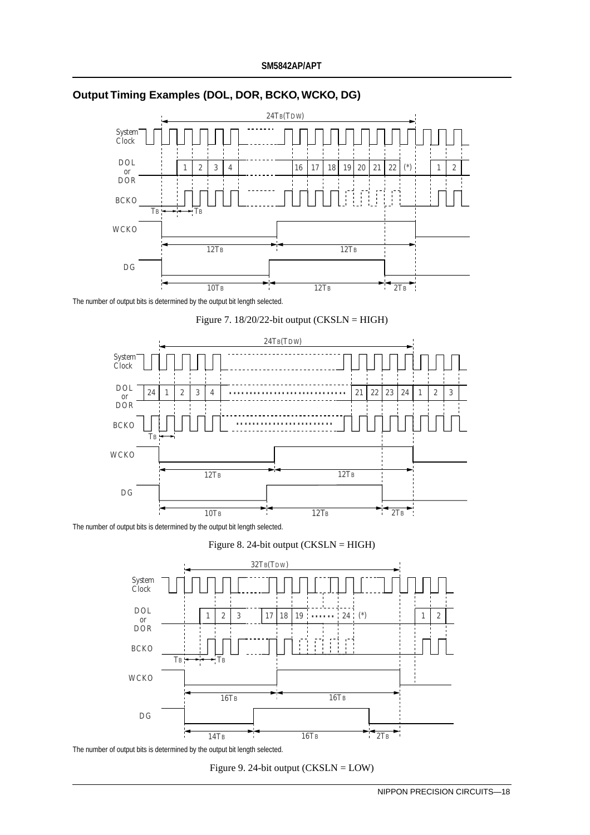

### **Output Timing Examples (DOL, DOR, BCKO, WCKO, DG)**

The number of output bits is determined by the output bit length selected.





The number of output bits is determined by the output bit length selected.





The number of output bits is determined by the output bit length selected.

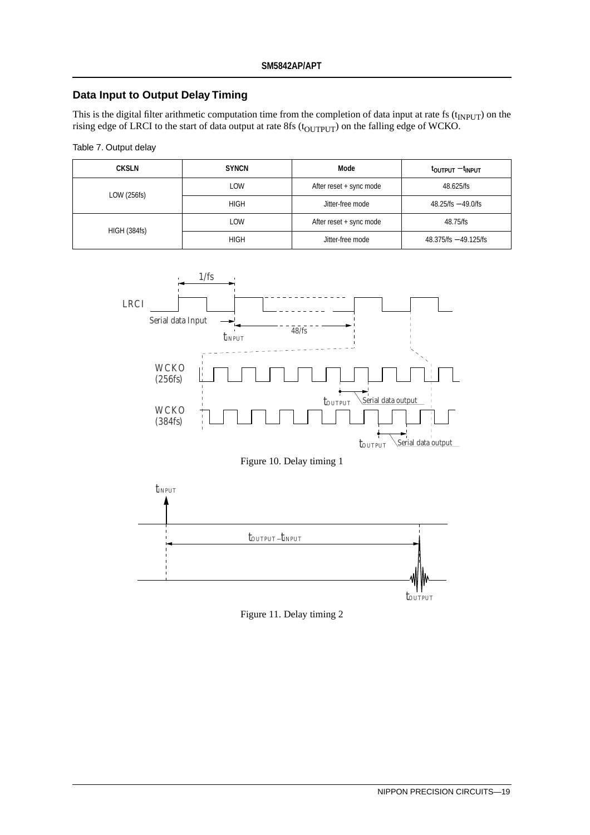### **Data Input to Output Delay Timing**

This is the digital filter arithmetic computation time from the completion of data input at rate fs  $(t_{\text{INPUT}})$  on the rising edge of LRCI to the start of data output at rate  $8fs$  (t $_{\rm OUTPUT})$  on the falling edge of WCKO.

| Table 7. Output delay |
|-----------------------|
|-----------------------|

| <b>CKSLN</b>        | <b>SYNCN</b> | Mode                    | t <sub>output</sub> – t <sub>input</sub> |
|---------------------|--------------|-------------------------|------------------------------------------|
| LOW (256fs)         | LOW          | After reset + sync mode | 48.625/fs                                |
|                     | <b>HIGH</b>  | Jitter-free mode        | $48.25$ /fs $-49.0$ /fs                  |
| <b>HIGH (384fs)</b> | LOW          | After reset + sync mode | 48.75/fs                                 |
|                     | <b>HIGH</b>  | Jitter-free mode        | $48.375$ /fs $- 49.125$ /fs              |



Figure 10. Delay timing 1



Figure 11. Delay timing 2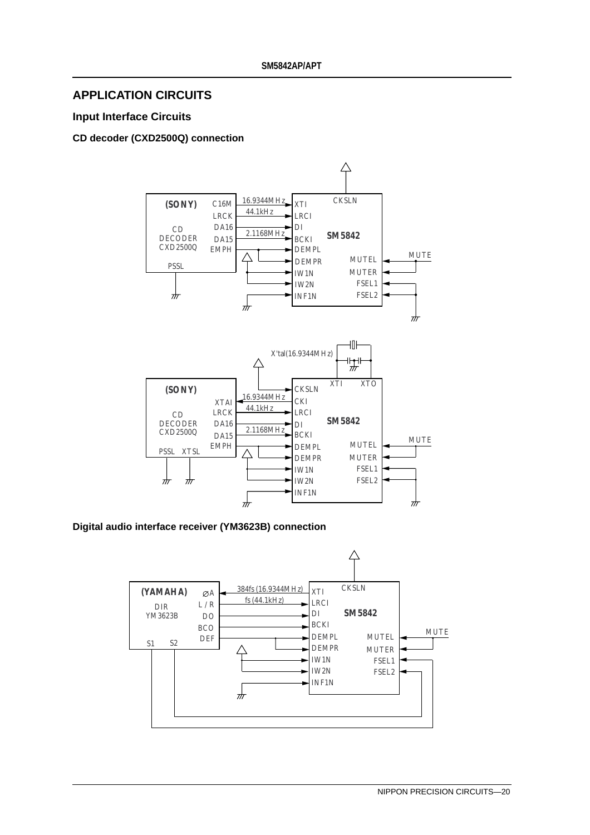### **APPLICATION CIRCUITS**

### **Input Interface Circuits**

### **CD decoder (CXD2500Q) connection**



**Digital audio interface receiver (YM3623B) connection**

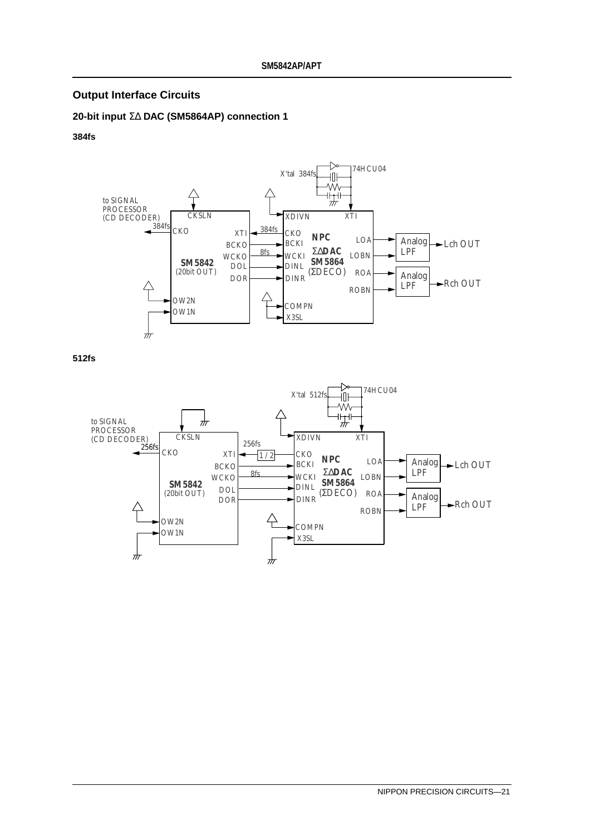### **Output Interface Circuits**

### **20-bit input** Σ∆ **DAC (SM5864AP) connection 1**

#### **384fs**



**512fs**

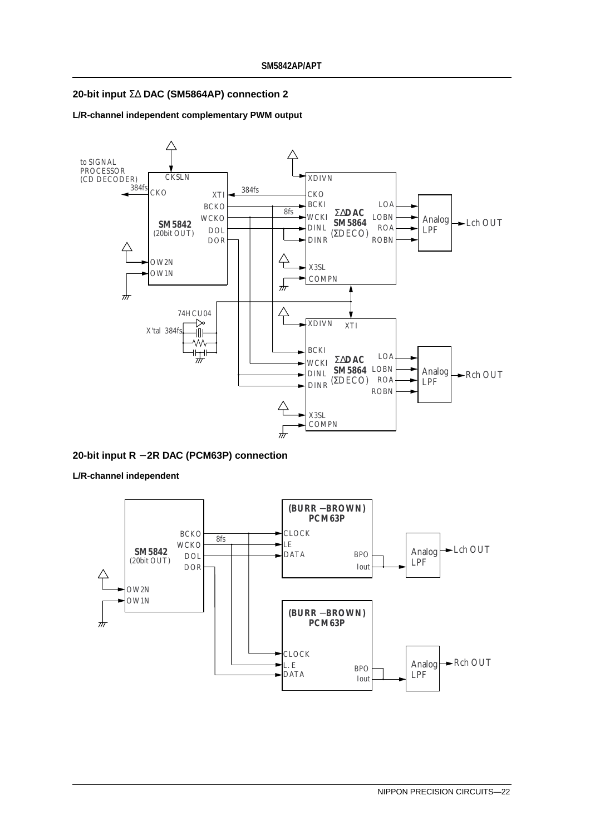#### **20-bit input** Σ∆ **DAC (SM5864AP) connection 2**

#### **L/R-channel independent complementary PWM output**



#### **20-bit input R** − **2R DAC (PCM63P) connection**

**L/R-channel independent**